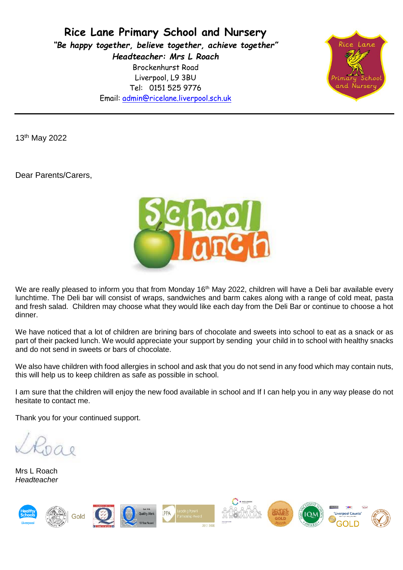**Rice Lane Primary School and Nursery** *"Be happy together, believe together, achieve together" Headteacher: Mrs L Roach* Brockenhurst Road Liverpool, L9 3BU Tel: 0151 525 9776 Email: [admin@ricelane.liverpool.sch.uk](mailto:admin@ricelane.liverpool.sch.uk)



13th May 2022

Dear Parents/Carers,



We are really pleased to inform you that from Monday 16<sup>th</sup> May 2022, children will have a Deli bar available every lunchtime. The Deli bar will consist of wraps, sandwiches and barm cakes along with a range of cold meat, pasta and fresh salad. Children may choose what they would like each day from the Deli Bar or continue to choose a hot dinner.

We have noticed that a lot of children are brining bars of chocolate and sweets into school to eat as a snack or as part of their packed lunch. We would appreciate your support by sending your child in to school with healthy snacks and do not send in sweets or bars of chocolate.

We also have children with food allergies in school and ask that you do not send in any food which may contain nuts, this will help us to keep children as safe as possible in school.

I am sure that the children will enjoy the new food available in school and If I can help you in any way please do not hesitate to contact me.

Thank you for your continued support.

Mrs L Roach *Headteacher*